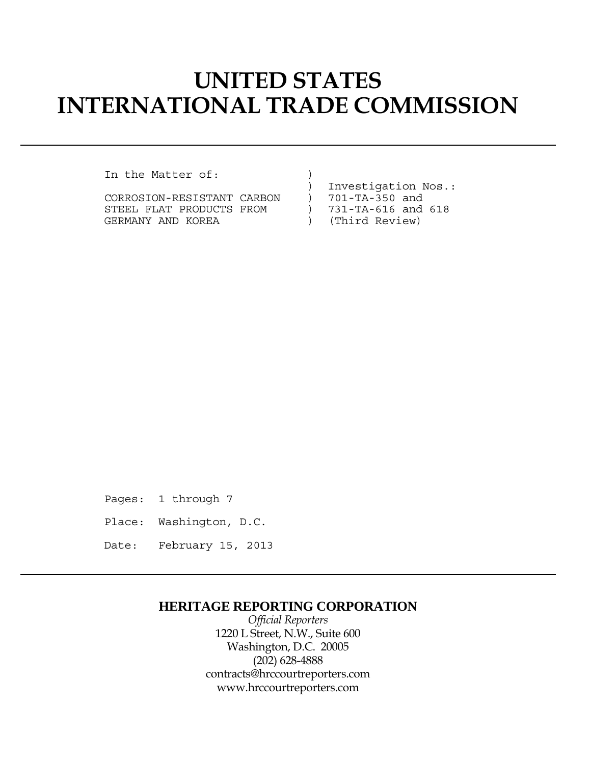# **UNITED STATES INTERNATIONAL TRADE COMMISSION**

In the Matter of:

|  | CORROSION-RESISTANT CARBON |  |
|--|----------------------------|--|
|  | STEEL FLAT PRODUCTS FROM   |  |
|  | GERMANY AND KOREA          |  |

) Investigation Nos.:

- 
- $)$  701-TA-350 and<br>  $)$  731-TA-616 and 731-TA-616 and 618
- ) (Third Review)

Pages: 1 through 7

- Place: Washington, D.C.
- Date: February 15, 2013

## **HERITAGE REPORTING CORPORATION**

*Official Reporters* 1220 L Street, N.W., Suite 600 Washington, D.C. 20005 (202) 628-4888 contracts@hrccourtreporters.com www.hrccourtreporters.com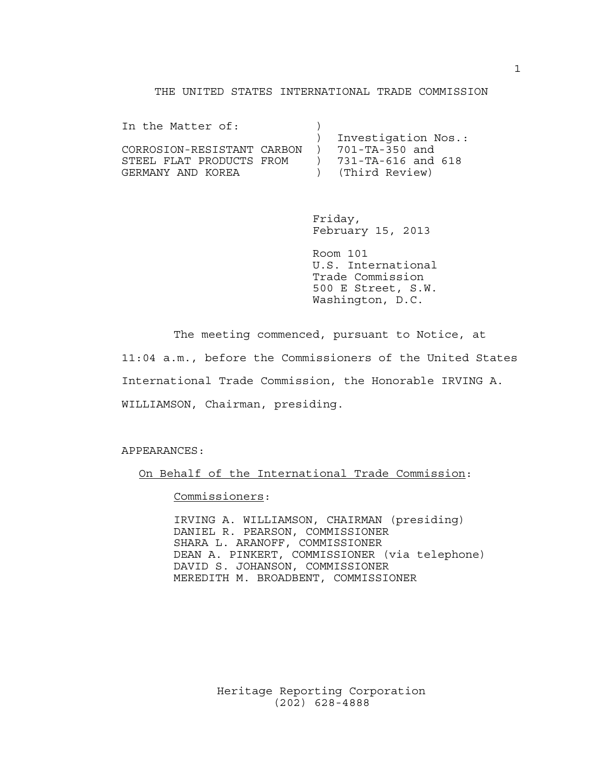#### THE UNITED STATES INTERNATIONAL TRADE COMMISSION

| In the Matter of:          |                     |
|----------------------------|---------------------|
|                            | Investigation Nos.: |
| CORROSION-RESISTANT CARBON | 701-TA-350 and      |
| STEEL FLAT PRODUCTS FROM   | 731-TA-616 and 618  |
| GERMANY AND KOREA          | (Third Review)      |

 Friday, February 15, 2013

 Room 101 U.S. International Trade Commission 500 E Street, S.W. Washington, D.C.

 The meeting commenced, pursuant to Notice, at 11:04 a.m., before the Commissioners of the United States International Trade Commission, the Honorable IRVING A. WILLIAMSON, Chairman, presiding.

APPEARANCES:

On Behalf of the International Trade Commission:

Commissioners:

 IRVING A. WILLIAMSON, CHAIRMAN (presiding) DANIEL R. PEARSON, COMMISSIONER SHARA L. ARANOFF, COMMISSIONER DEAN A. PINKERT, COMMISSIONER (via telephone) DAVID S. JOHANSON, COMMISSIONER MEREDITH M. BROADBENT, COMMISSIONER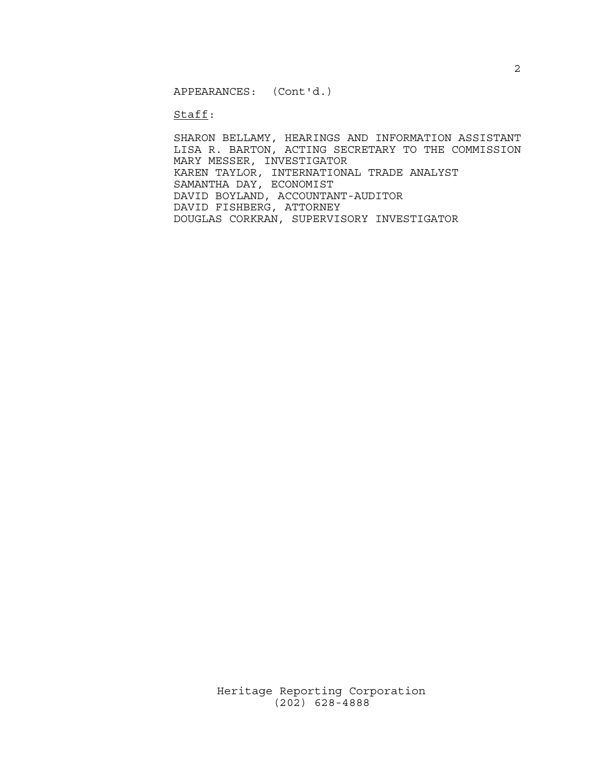APPEARANCES: (Cont'd.)

Staff:

 SHARON BELLAMY, HEARINGS AND INFORMATION ASSISTANT LISA R. BARTON, ACTING SECRETARY TO THE COMMISSION MARY MESSER, INVESTIGATOR KAREN TAYLOR, INTERNATIONAL TRADE ANALYST SAMANTHA DAY, ECONOMIST DAVID BOYLAND, ACCOUNTANT-AUDITOR DAVID FISHBERG, ATTORNEY DOUGLAS CORKRAN, SUPERVISORY INVESTIGATOR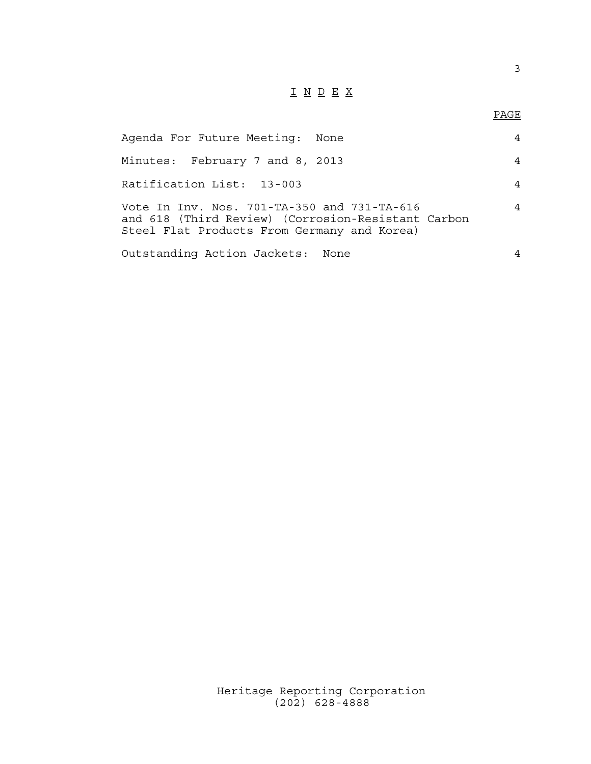## I N D E X

### en de la provincia de la provincia de la provincia de la provincia de la provincia de la provincia de la provi<br>Para la provincia de la provincia de la provincia de la provincia de la provincia de la provincia de la provin

| Agenda For Future Meeting: None                                                                                                                  |   |
|--------------------------------------------------------------------------------------------------------------------------------------------------|---|
| Minutes: February 7 and 8, 2013                                                                                                                  | 4 |
| Ratification List: 13-003                                                                                                                        | 4 |
| Vote In Inv. Nos. 701-TA-350 and 731-TA-616<br>and 618 (Third Review) (Corrosion-Resistant Carbon<br>Steel Flat Products From Germany and Korea) | 4 |
| Outstanding Action Jackets: None                                                                                                                 |   |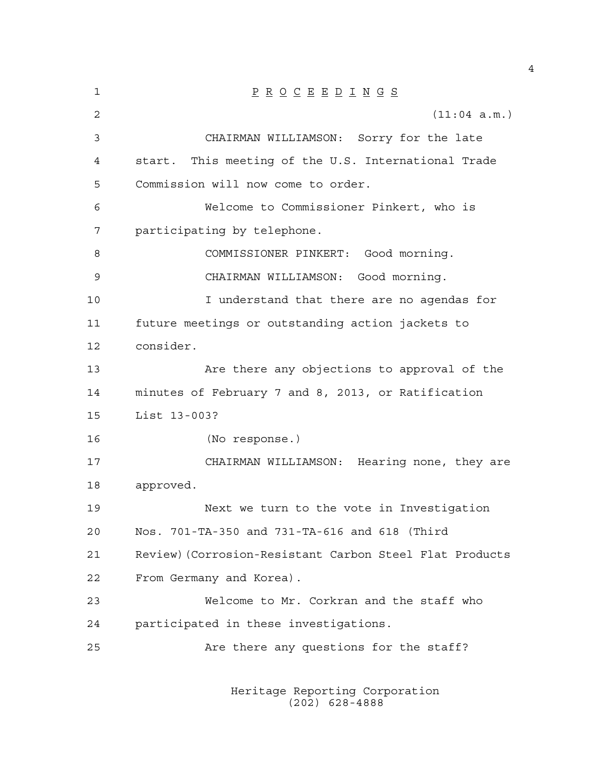1 P R O C E E D I N G S 2 (11:04 a.m.) 3 CHAIRMAN WILLIAMSON: Sorry for the late 4 start. This meeting of the U.S. International Trade 5 Commission will now come to order. 6 Welcome to Commissioner Pinkert, who is 7 participating by telephone. 8 COMMISSIONER PINKERT: Good morning. 9 CHAIRMAN WILLIAMSON: Good morning. 10 I understand that there are no agendas for 11 future meetings or outstanding action jackets to 12 consider. 13 Are there any objections to approval of the 14 minutes of February 7 and 8, 2013, or Ratification 15 List 13-003? 16 (No response.) 17 CHAIRMAN WILLIAMSON: Hearing none, they are 18 approved. 19 Next we turn to the vote in Investigation 20 Nos. 701-TA-350 and 731-TA-616 and 618 (Third 21 Review)(Corrosion-Resistant Carbon Steel Flat Products 22 From Germany and Korea). 23 Welcome to Mr. Corkran and the staff who 24 participated in these investigations. 25 Are there any questions for the staff?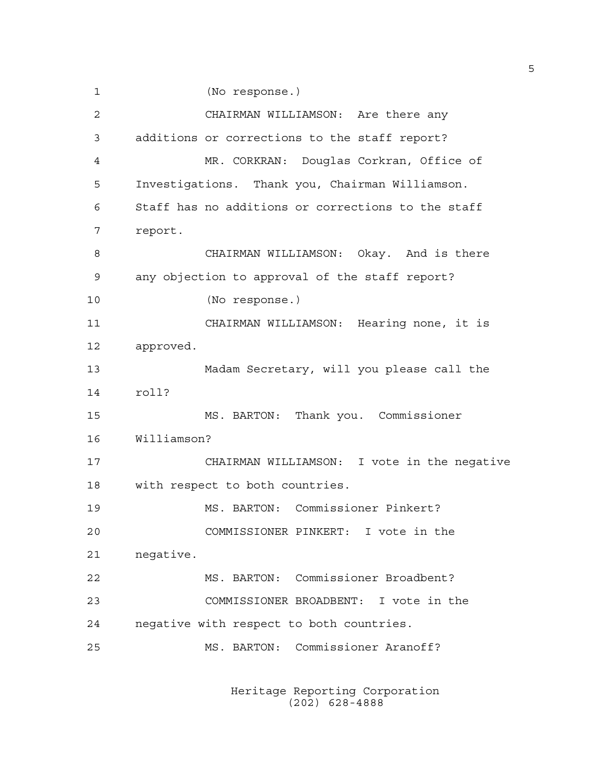1 (No response.)

2 CHAIRMAN WILLIAMSON: Are there any 3 additions or corrections to the staff report? 4 MR. CORKRAN: Douglas Corkran, Office of 5 Investigations. Thank you, Chairman Williamson. 6 Staff has no additions or corrections to the staff 7 report. 8 CHAIRMAN WILLIAMSON: Okay. And is there 9 any objection to approval of the staff report? 10 (No response.) 11 CHAIRMAN WILLIAMSON: Hearing none, it is 12 approved. 13 Madam Secretary, will you please call the 14 roll? 15 MS. BARTON: Thank you. Commissioner 16 Williamson? 17 CHAIRMAN WILLIAMSON: I vote in the negative 18 with respect to both countries. 19 MS. BARTON: Commissioner Pinkert? 20 COMMISSIONER PINKERT: I vote in the 21 negative. 22 MS. BARTON: Commissioner Broadbent? 23 COMMISSIONER BROADBENT: I vote in the 24 negative with respect to both countries. 25 MS. BARTON: Commissioner Aranoff?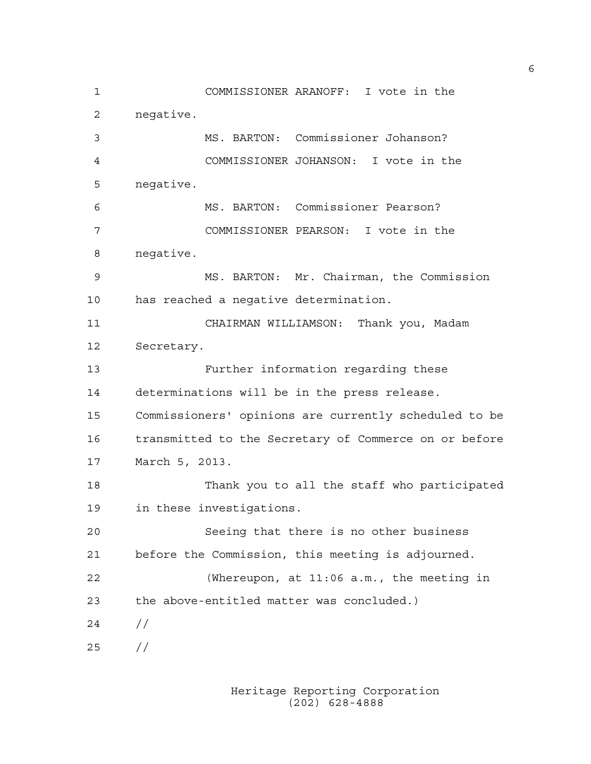1 COMMISSIONER ARANOFF: I vote in the 2 negative. 3 MS. BARTON: Commissioner Johanson? 4 COMMISSIONER JOHANSON: I vote in the 5 negative. 6 MS. BARTON: Commissioner Pearson? 7 COMMISSIONER PEARSON: I vote in the 8 negative. 9 MS. BARTON: Mr. Chairman, the Commission 10 has reached a negative determination. 11 CHAIRMAN WILLIAMSON: Thank you, Madam 12 Secretary. 13 Further information regarding these 14 determinations will be in the press release. 15 Commissioners' opinions are currently scheduled to be 16 transmitted to the Secretary of Commerce on or before 17 March 5, 2013. 18 Thank you to all the staff who participated 19 in these investigations. 20 Seeing that there is no other business 21 before the Commission, this meeting is adjourned. 22 (Whereupon, at 11:06 a.m., the meeting in 23 the above-entitled matter was concluded.)  $24 /$ 25 //